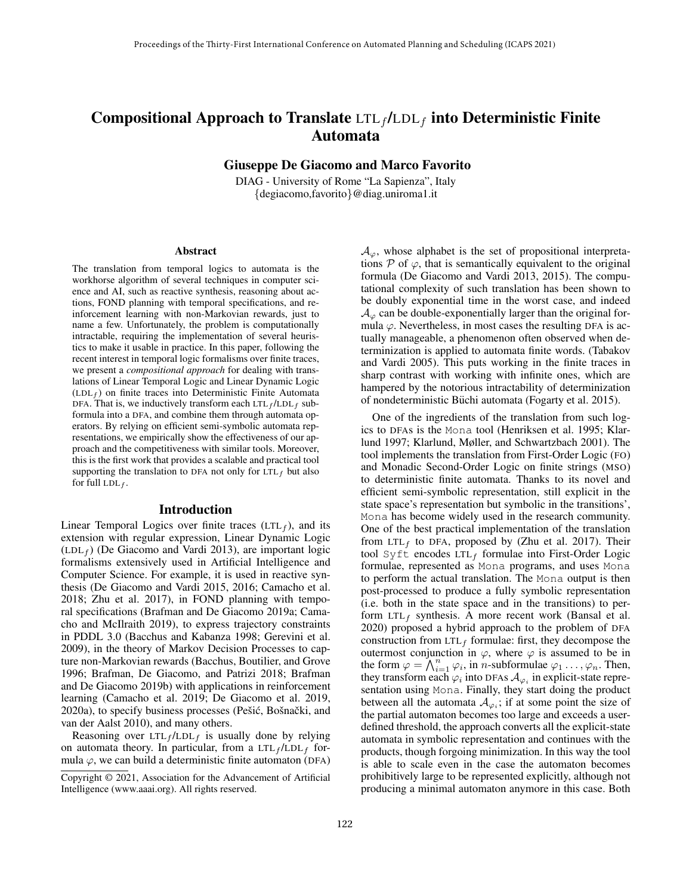# Compositional Approach to Translate  $LTL_f/LDL_f$  into Deterministic Finite Automata

Giuseppe De Giacomo and Marco Favorito

DIAG - University of Rome "La Sapienza", Italy {degiacomo,favorito}@diag.uniroma1.it

#### Abstract

The translation from temporal logics to automata is the workhorse algorithm of several techniques in computer science and AI, such as reactive synthesis, reasoning about actions, FOND planning with temporal specifications, and reinforcement learning with non-Markovian rewards, just to name a few. Unfortunately, the problem is computationally intractable, requiring the implementation of several heuristics to make it usable in practice. In this paper, following the recent interest in temporal logic formalisms over finite traces, we present a *compositional approach* for dealing with translations of Linear Temporal Logic and Linear Dynamic Logic  $(LDL<sub>f</sub>)$  on finite traces into Deterministic Finite Automata DFA. That is, we inductively transform each  $LTL_f / LDL_f$  subformula into a DFA, and combine them through automata operators. By relying on efficient semi-symbolic automata representations, we empirically show the effectiveness of our approach and the competitiveness with similar tools. Moreover, this is the first work that provides a scalable and practical tool supporting the translation to DFA not only for  $LTL_f$  but also for full LDL $_f$ .

#### Introduction

Linear Temporal Logics over finite traces  $(LTL<sub>f</sub>)$ , and its extension with regular expression, Linear Dynamic Logic  $(LDL<sub>f</sub>)$  (De Giacomo and Vardi 2013), are important logic formalisms extensively used in Artificial Intelligence and Computer Science. For example, it is used in reactive synthesis (De Giacomo and Vardi 2015, 2016; Camacho et al. 2018; Zhu et al. 2017), in FOND planning with temporal specifications (Brafman and De Giacomo 2019a; Camacho and McIlraith 2019), to express trajectory constraints in PDDL 3.0 (Bacchus and Kabanza 1998; Gerevini et al. 2009), in the theory of Markov Decision Processes to capture non-Markovian rewards (Bacchus, Boutilier, and Grove 1996; Brafman, De Giacomo, and Patrizi 2018; Brafman and De Giacomo 2019b) with applications in reinforcement learning (Camacho et al. 2019; De Giacomo et al. 2019, 2020a), to specify business processes (Pešić, Bošnački, and van der Aalst 2010), and many others.

Reasoning over  $LTL_f/LDL_f$  is usually done by relying on automata theory. In particular, from a  $LTL_f / LDL_f$  formula  $\varphi$ , we can build a deterministic finite automaton (DFA)  $\mathcal{A}_{\varphi}$ , whose alphabet is the set of propositional interpretations  $P$  of  $\varphi$ , that is semantically equivalent to the original formula (De Giacomo and Vardi 2013, 2015). The computational complexity of such translation has been shown to be doubly exponential time in the worst case, and indeed  $\mathcal{A}_{\varphi}$  can be double-exponentially larger than the original formula  $\varphi$ . Nevertheless, in most cases the resulting DFA is actually manageable, a phenomenon often observed when determinization is applied to automata finite words. (Tabakov and Vardi 2005). This puts working in the finite traces in sharp contrast with working with infinite ones, which are hampered by the notorious intractability of determinization of nondeterministic Büchi automata (Fogarty et al. 2015).

One of the ingredients of the translation from such logics to DFAs is the Mona tool (Henriksen et al. 1995; Klarlund 1997; Klarlund, Møller, and Schwartzbach 2001). The tool implements the translation from First-Order Logic (FO) and Monadic Second-Order Logic on finite strings (MSO) to deterministic finite automata. Thanks to its novel and efficient semi-symbolic representation, still explicit in the state space's representation but symbolic in the transitions', Mona has become widely used in the research community. One of the best practical implementation of the translation from LTL<sub>f</sub> to DFA, proposed by (Zhu et al. 2017). Their tool Syft encodes  $LTL_f$  formulae into First-Order Logic formulae, represented as Mona programs, and uses Mona to perform the actual translation. The Mona output is then post-processed to produce a fully symbolic representation (i.e. both in the state space and in the transitions) to perform  $LTL_f$  synthesis. A more recent work (Bansal et al. 2020) proposed a hybrid approach to the problem of DFA construction from  $LTL_f$  formulae: first, they decompose the outermost conjunction in  $\varphi$ , where  $\varphi$  is assumed to be in the form  $\varphi = \bigwedge_{i=1}^{n} \varphi_i$ , in *n*-subformulae  $\varphi_1 \dots, \varphi_n$ . Then, they transform each  $\varphi_i$  into DFAs  $\mathcal{A}_{\varphi_i}$  in explicit-state representation using Mona. Finally, they start doing the product between all the automata  $A_{\varphi_i}$ ; if at some point the size of the partial automaton becomes too large and exceeds a userdefined threshold, the approach converts all the explicit-state automata in symbolic representation and continues with the products, though forgoing minimization. In this way the tool is able to scale even in the case the automaton becomes prohibitively large to be represented explicitly, although not producing a minimal automaton anymore in this case. Both

Copyright © 2021, Association for the Advancement of Artificial Intelligence (www.aaai.org). All rights reserved.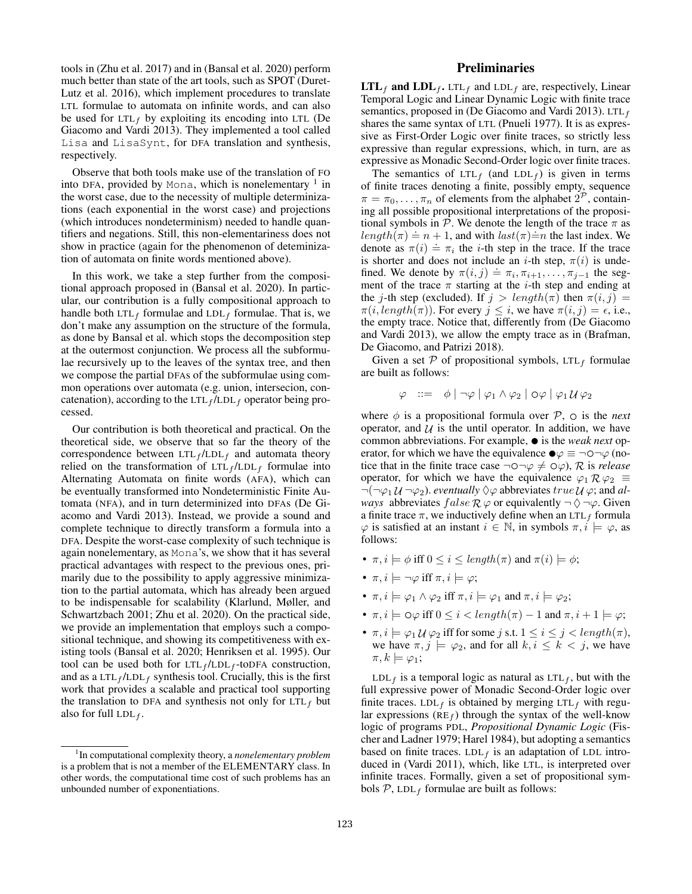tools in (Zhu et al. 2017) and in (Bansal et al. 2020) perform much better than state of the art tools, such as SPOT (Duret-Lutz et al. 2016), which implement procedures to translate LTL formulae to automata on infinite words, and can also be used for LTL<sub>f</sub> by exploiting its encoding into LTL (De Giacomo and Vardi 2013). They implemented a tool called Lisa and LisaSynt, for DFA translation and synthesis, respectively.

Observe that both tools make use of the translation of FO into DFA, provided by Mona, which is nonelementary  $1$  in the worst case, due to the necessity of multiple determinizations (each exponential in the worst case) and projections (which introduces nondeterminism) needed to handle quantifiers and negations. Still, this non-elementariness does not show in practice (again for the phenomenon of deteminization of automata on finite words mentioned above).

In this work, we take a step further from the compositional approach proposed in (Bansal et al. 2020). In particular, our contribution is a fully compositional approach to handle both  $LTL_f$  formulae and  $LDL_f$  formulae. That is, we don't make any assumption on the structure of the formula, as done by Bansal et al. which stops the decomposition step at the outermost conjunction. We process all the subformulae recursively up to the leaves of the syntax tree, and then we compose the partial DFAs of the subformulae using common operations over automata (e.g. union, intersecion, concatenation), according to the  $LTL_f / LDL_f$  operator being processed.

Our contribution is both theoretical and practical. On the theoretical side, we observe that so far the theory of the correspondence between  $LTL_f/LDL_f$  and automata theory relied on the transformation of  $LTL_f / LDL_f$  formulae into Alternating Automata on finite words (AFA), which can be eventually transformed into Nondeterministic Finite Automata (NFA), and in turn determinized into DFAs (De Giacomo and Vardi 2013). Instead, we provide a sound and complete technique to directly transform a formula into a DFA. Despite the worst-case complexity of such technique is again nonelementary, as Mona's, we show that it has several practical advantages with respect to the previous ones, primarily due to the possibility to apply aggressive minimization to the partial automata, which has already been argued to be indispensable for scalability (Klarlund, Møller, and Schwartzbach 2001; Zhu et al. 2020). On the practical side, we provide an implementation that employs such a compositional technique, and showing its competitiveness with existing tools (Bansal et al. 2020; Henriksen et al. 1995). Our tool can be used both for  $LTL_f / LDL_f$ -toDFA construction, and as a LTL $_f$ /LDL $_f$  synthesis tool. Crucially, this is the first work that provides a scalable and practical tool supporting the translation to DFA and synthesis not only for  $LTL<sub>f</sub>$  but also for full LDL $_f$ .

## Preliminaries

 $LTL_f$  and  $LDL_f$ . LTL<sub>f</sub> and LDL<sub>f</sub> are, respectively, Linear Temporal Logic and Linear Dynamic Logic with finite trace semantics, proposed in (De Giacomo and Vardi 2013). LTL $_f$ shares the same syntax of LTL (Pnueli 1977). It is as expressive as First-Order Logic over finite traces, so strictly less expressive than regular expressions, which, in turn, are as expressive as Monadic Second-Order logic over finite traces.

The semantics of LTL<sub>f</sub> (and LDL<sub>f</sub>) is given in terms of finite traces denoting a finite, possibly empty, sequence  $\pi = \pi_0, \dots, \pi_n$  of elements from the alphabet  $2^{\mathcal{P}}$ , containing all possible propositional interpretations of the propositional symbols in  $P$ . We denote the length of the trace  $\pi$  as  $length(\pi) \doteq n + 1$ , and with  $last(\pi) \doteq n$  the last index. We denote as  $\pi(i) \doteq \pi_i$  the *i*-th step in the trace. If the trace is shorter and does not include an *i*-th step,  $\pi(i)$  is undefined. We denote by  $\pi(i, j) = \pi_i, \pi_{i+1}, \ldots, \pi_{j-1}$  the segment of the trace  $\pi$  starting at the *i*-th step and ending at the j-th step (excluded). If  $j > length(\pi)$  then  $\pi(i, j)$  =  $\pi(i, length(\pi))$ . For every  $j \leq i$ , we have  $\pi(i, j) = \epsilon$ , i.e., the empty trace. Notice that, differently from (De Giacomo and Vardi 2013), we allow the empty trace as in (Brafman, De Giacomo, and Patrizi 2018).

Given a set  $P$  of propositional symbols, LTL<sub>f</sub> formulae are built as follows:

$$
\varphi \ ::= \ \phi \ | \ \neg \varphi \ | \ \varphi_1 \wedge \varphi_2 \ | \ O \varphi \ | \ \varphi_1 \mathcal{U} \, \varphi_2
$$

where  $\phi$  is a propositional formula over  $P$ ,  $\circ$  is the *next* operator, and  $\mathcal U$  is the until operator. In addition, we have common abbreviations. For example, • is the *weak next* operator, for which we have the equivalence  $\bullet \varphi \equiv \neg \circ \neg \varphi$  (notice that in the finite trace case  $\neg$  $\neg$  $\neg$  $\varphi \neq \varphi$ ,  $R$  is *release* operator, for which we have the equivalence  $\varphi_1 \mathcal{R} \varphi_2 \equiv$  $\neg(\neg\varphi_1\mathcal{U}\neg\varphi_2)$ . *eventually*  $\Diamond\varphi$  abbreviates  $true\mathcal{U}\varphi$ ; and *always* abbreviates  $false \mathcal{R} \varphi$  or equivalently  $\neg \Diamond \neg \varphi$ . Given a finite trace  $\pi$ , we inductively define when an LTL<sub>f</sub> formula  $\varphi$  is satisfied at an instant  $i \in \mathbb{N}$ , in symbols  $\pi, i \models \varphi$ , as follows:

- $\pi, i \models \phi$  iff  $0 \leq i \leq length(\pi)$  and  $\pi(i) \models \phi$ ;
- $\pi, i \models \neg \varphi$  iff  $\pi, i \models \varphi;$
- $\pi, i \models \varphi_1 \land \varphi_2$  iff  $\pi, i \models \varphi_1$  and  $\pi, i \models \varphi_2$ ;
- $\pi, i \models \bigcirc \varphi$  iff  $0 \leq i < length(\pi) 1$  and  $\pi, i + 1 \models \varphi$ ;
- $\pi, i \models \varphi_1 \mathcal{U} \varphi_2$  iff for some j s.t.  $1 \leq i \leq j < length(\pi)$ , we have  $\pi, j \models \varphi_2$ , and for all  $k, i \leq k < j$ , we have  $\pi, k \models \varphi_1;$

 $LDL_f$  is a temporal logic as natural as  $LTL_f$ , but with the full expressive power of Monadic Second-Order logic over finite traces. LDL<sub>f</sub> is obtained by merging LTL<sub>f</sub> with regular expressions ( $RE_f$ ) through the syntax of the well-know logic of programs PDL, *Propositional Dynamic Logic* (Fischer and Ladner 1979; Harel 1984), but adopting a semantics based on finite traces.  $LDL_f$  is an adaptation of LDL introduced in (Vardi 2011), which, like LTL, is interpreted over infinite traces. Formally, given a set of propositional symbols  $P$ , LDL<sub>f</sub> formulae are built as follows:

<sup>1</sup> In computational complexity theory, a *nonelementary problem* is a problem that is not a member of the ELEMENTARY class. In other words, the computational time cost of such problems has an unbounded number of exponentiations.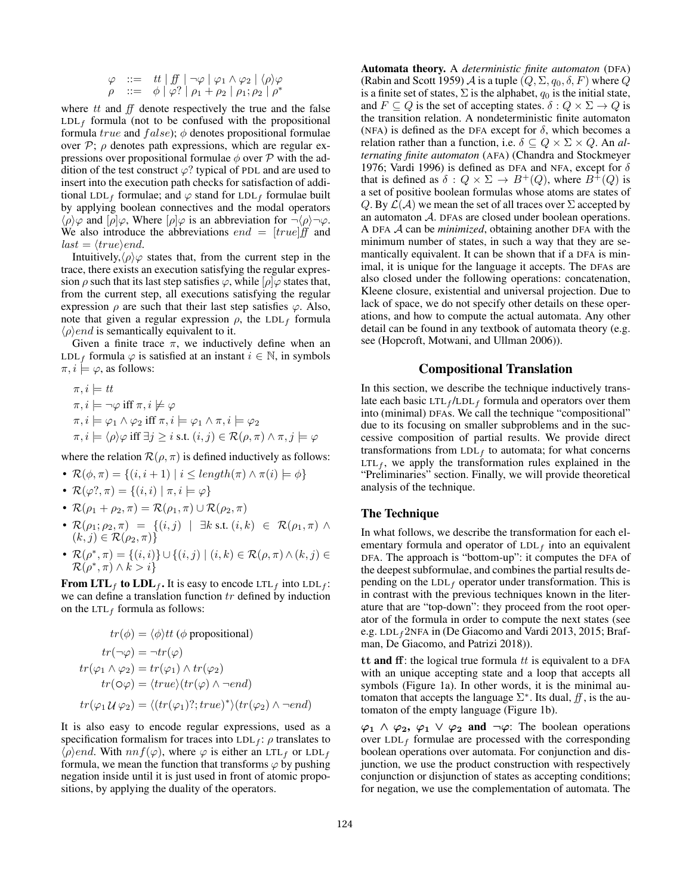$$
\varphi \quad ::= \quad tt \mid ff \mid \neg \varphi \mid \varphi_1 \land \varphi_2 \mid \langle \rho \rangle \varphi
$$
\n
$$
\rho \quad ::= \quad \phi \mid \varphi? \mid \rho_1 + \rho_2 \mid \rho_1; \rho_2 \mid \rho^*
$$

where  $tt$  and  $ff$  denote respectively the true and the false  $LDL_f$  formula (not to be confused with the propositional formula true and  $false$ ;  $\phi$  denotes propositional formulae over  $P$ ;  $\rho$  denotes path expressions, which are regular expressions over propositional formulae  $\phi$  over P with the addition of the test construct  $\varphi$ ? typical of PDL and are used to insert into the execution path checks for satisfaction of additional LDL<sub>f</sub> formulae; and  $\varphi$  stand for LDL<sub>f</sub> formulae built by applying boolean connectives and the modal operators  $\langle \rho \rangle \varphi$  and  $[\rho] \varphi$ , Where  $[\rho] \varphi$  is an abbreviation for  $\neg \langle \rho \rangle \neg \varphi$ . We also introduce the abbreviations  $end = [true]$  and  $last = \langle true \rangle end.$ 

Intuitively, $\langle \rho \rangle \varphi$  states that, from the current step in the trace, there exists an execution satisfying the regular expression  $\rho$  such that its last step satisfies  $\varphi$ , while  $[\rho] \varphi$  states that, from the current step, all executions satisfying the regular expression  $\rho$  are such that their last step satisfies  $\varphi$ . Also, note that given a regular expression  $\rho$ , the LDL<sub>f</sub> formula  $\langle \rho \rangle$ *end* is semantically equivalent to it.

Given a finite trace  $\pi$ , we inductively define when an LDL<sub>f</sub> formula  $\varphi$  is satisfied at an instant  $i \in \mathbb{N}$ , in symbols  $\pi, i \models \varphi$ , as follows:

$$
\pi, i \models tt
$$
  
\n
$$
\pi, i \models \neg \varphi \text{ iff } \pi, i \not\models \varphi
$$
  
\n
$$
\pi, i \models \varphi_1 \land \varphi_2 \text{ iff } \pi, i \models \varphi_1 \land \pi, i \models \varphi_2
$$
  
\n
$$
\pi, i \models \langle \rho \rangle \varphi \text{ iff } \exists j \geq i \text{ s.t. } (i, j) \in \mathcal{R}(\rho, \pi) \land \pi, j \models \varphi
$$

where the relation  $\mathcal{R}(\rho, \pi)$  is defined inductively as follows:

- $\mathcal{R}(\phi, \pi) = \{(i, i + 1) \mid i \leq length(\pi) \land \pi(i) \models \phi\}$
- $\mathcal{R}(\varphi^?,\pi) = \{(i,i) \mid \pi, i \models \varphi\}$
- $\mathcal{R}(\rho_1 + \rho_2, \pi) = \mathcal{R}(\rho_1, \pi) \cup \mathcal{R}(\rho_2, \pi)$
- $\mathcal{R}(\rho_1; \rho_2, \pi) = \{ (i, j) \mid \exists k \text{ s.t. } (i, k) \in \mathcal{R}(\rho_1, \pi) \land$  $(k, j) \in \mathcal{R}(\rho_2, \pi)$
- $\mathcal{R}(\rho^*, \pi) = \{(i, i)\} \cup \{(i, j) \mid (i, k) \in \mathcal{R}(\rho, \pi) \land (k, j) \in$  $\mathcal{R}(\rho^*, \pi) \wedge k > i$

From LTL<sub>f</sub> to LDL<sub>f</sub>. It is easy to encode LTL<sub>f</sub> into LDL<sub>f</sub>: we can define a translation function  $tr$  defined by induction on the LTL<sub>f</sub> formula as follows:

$$
tr(\phi) = \langle \phi \rangle tt \ (\phi \text{ propositional})
$$

$$
tr(\neg \varphi) = \neg tr(\varphi)
$$

$$
tr(\varphi_1 \land \varphi_2) = tr(\varphi_1) \land tr(\varphi_2)
$$

$$
tr(\varphi \varphi) = \langle true \rangle (tr(\varphi) \land \neg end)
$$

$$
tr(\varphi_1 \mathcal{U} \varphi_2) = \langle (tr(\varphi_1)?; true)^* \rangle (tr(\varphi_2) \land \neg end)
$$

It is also easy to encode regular expressions, used as a specification formalism for traces into  $LDL_f$ :  $\rho$  translates to  $\langle \rho \rangle$ end. With  $n n f(\varphi)$ , where  $\varphi$  is either an LTL<sub>f</sub> or LDL<sub>f</sub> formula, we mean the function that transforms  $\varphi$  by pushing negation inside until it is just used in front of atomic propositions, by applying the duality of the operators.

Automata theory. A *deterministic finite automaton* (DFA) (Rabin and Scott 1959) A is a tuple  $(Q, \Sigma, q_0, \delta, F)$  where Q is a finite set of states,  $\Sigma$  is the alphabet,  $q_0$  is the initial state, and  $F \subseteq Q$  is the set of accepting states.  $\delta : Q \times \Sigma \to Q$  is the transition relation. A nondeterministic finite automaton (NFA) is defined as the DFA except for  $\delta$ , which becomes a relation rather than a function, i.e.  $\delta \subseteq Q \times \Sigma \times Q$ . An *alternating finite automaton* (AFA) (Chandra and Stockmeyer 1976; Vardi 1996) is defined as DFA and NFA, except for  $\delta$ that is defined as  $\delta: Q \times \Sigma \to B^+(Q)$ , where  $B^+(Q)$  is a set of positive boolean formulas whose atoms are states of Q. By  $\mathcal{L}(\mathcal{A})$  we mean the set of all traces over  $\Sigma$  accepted by an automaton A. DFAs are closed under boolean operations. A DFA A can be *minimized*, obtaining another DFA with the minimum number of states, in such a way that they are semantically equivalent. It can be shown that if a DFA is minimal, it is unique for the language it accepts. The DFAs are also closed under the following operations: concatenation, Kleene closure, existential and universal projection. Due to lack of space, we do not specify other details on these operations, and how to compute the actual automata. Any other detail can be found in any textbook of automata theory (e.g. see (Hopcroft, Motwani, and Ullman 2006)).

## Compositional Translation

In this section, we describe the technique inductively translate each basic  $LTL_f / LDL_f$  formula and operators over them into (minimal) DFAs. We call the technique "compositional" due to its focusing on smaller subproblems and in the successive composition of partial results. We provide direct transformations from  $LDL_f$  to automata; for what concerns  $LTL<sub>f</sub>$ , we apply the transformation rules explained in the "Preliminaries" section. Finally, we will provide theoretical analysis of the technique.

## The Technique

In what follows, we describe the transformation for each elementary formula and operator of  $LDL_f$  into an equivalent DFA. The approach is "bottom-up": it computes the DFA of the deepest subformulae, and combines the partial results depending on the  $LDL_f$  operator under transformation. This is in contrast with the previous techniques known in the literature that are "top-down": they proceed from the root operator of the formula in order to compute the next states (see e.g. LDL $_f$ 2NFA in (De Giacomo and Vardi 2013, 2015; Brafman, De Giacomo, and Patrizi 2018)).

tt and ff: the logical true formula  $tt$  is equivalent to a DFA with an unique accepting state and a loop that accepts all symbols (Figure 1a). In other words, it is the minimal automaton that accepts the language  $\Sigma^*$ . Its dual,  $f\!f$ , is the automaton of the empty language (Figure 1b).

 $\varphi_1 \wedge \varphi_2$ ,  $\varphi_1 \vee \varphi_2$  and  $\neg \varphi$ : The boolean operations over  $LDL_f$  formulae are processed with the corresponding boolean operations over automata. For conjunction and disjunction, we use the product construction with respectively conjunction or disjunction of states as accepting conditions; for negation, we use the complementation of automata. The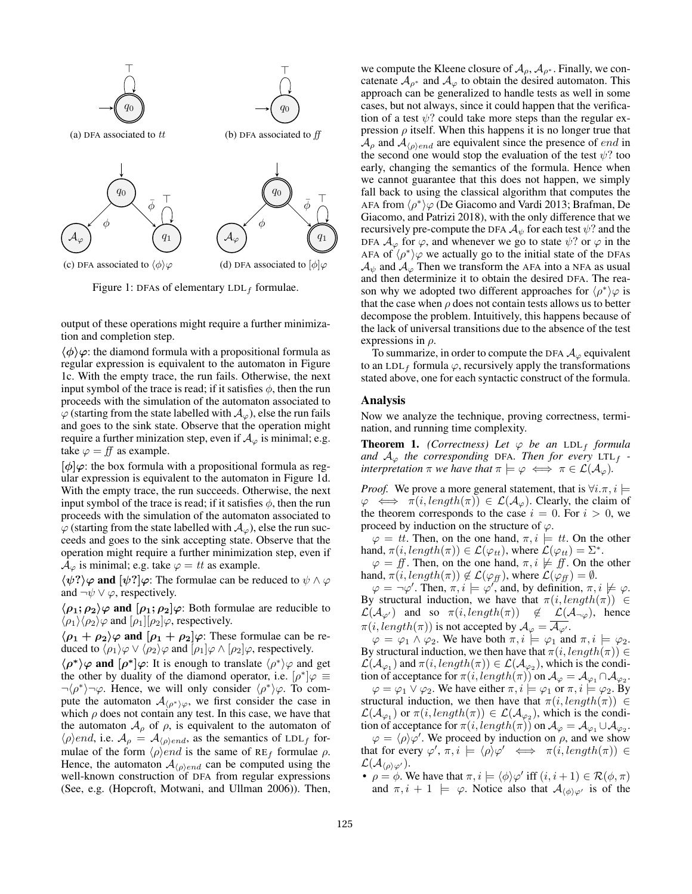

Figure 1: DFAs of elementary  $LDL_f$  formulae.

output of these operations might require a further minimization and completion step.

 $\langle \phi \rangle \varphi$ : the diamond formula with a propositional formula as regular expression is equivalent to the automaton in Figure 1c. With the empty trace, the run fails. Otherwise, the next input symbol of the trace is read; if it satisfies  $\phi$ , then the run proceeds with the simulation of the automaton associated to  $\varphi$  (starting from the state labelled with  $\mathcal{A}_{\varphi}$ ), else the run fails and goes to the sink state. Observe that the operation might require a further minization step, even if  $A_{\varphi}$  is minimal; e.g. take  $\varphi = ff$  as example.

 $[\phi]\varphi$ : the box formula with a propositional formula as regular expression is equivalent to the automaton in Figure 1d. With the empty trace, the run succeeds. Otherwise, the next input symbol of the trace is read; if it satisfies  $\phi$ , then the run proceeds with the simulation of the automaton associated to  $\varphi$  (starting from the state labelled with  $\mathcal{A}_{\varphi}$ ), else the run succeeds and goes to the sink accepting state. Observe that the operation might require a further minimization step, even if  $\mathcal{A}_{\varphi}$  is minimal; e.g. take  $\varphi = tt$  as example.

 $\langle \psi$ ? $\rangle \varphi$  and  $[\psi$ ? $]\varphi$ : The formulae can be reduced to  $\psi \wedge \varphi$ and  $\neg \psi \lor \varphi$ , respectively.

 $\langle \rho_1; \rho_2 \rangle \varphi$  and  $[\rho_1; \rho_2] \varphi$ : Both formulae are reducible to  $\langle \rho_1 \rangle \langle \rho_2 \rangle \varphi$  and  $[\rho_1] [\rho_2] \varphi$ , respectively.

 $\langle \rho_1 + \rho_2 \rangle \varphi$  and  $[\rho_1 + \rho_2] \varphi$ : These formulae can be reduced to  $\langle \rho_1 \rangle \varphi \vee \langle \rho_2 \rangle \varphi$  and  $[\rho_1] \varphi \wedge [\rho_2] \varphi$ , respectively.

 $\langle \rho^* \rangle \varphi$  and  $[\rho^*] \varphi$ : It is enough to translate  $\langle \rho^* \rangle \varphi$  and get the other by duality of the diamond operator, i.e.  $[\rho^*]\varphi \equiv$  $\neg \langle \rho^* \rangle \neg \varphi$ . Hence, we will only consider  $\langle \rho^* \rangle \varphi$ . To compute the automaton  $\mathcal{A}_{\langle \rho^* \rangle \varphi}$ , we first consider the case in which  $\rho$  does not contain any test. In this case, we have that the automaton  $A_{\rho}$  of  $\rho$ , is equivalent to the automaton of  $\langle \rho \rangle$ *end*, i.e.  $\mathcal{A}_{\rho} = \mathcal{A}_{\langle \rho \rangle end}$ , as the semantics of LDL<sub>f</sub> formulae of the form  $\langle \rho \rangle$ *end* is the same of RE<sub>f</sub> formulae  $\rho$ . Hence, the automaton  $A_{\langle \rho \rangle end}$  can be computed using the well-known construction of DFA from regular expressions (See, e.g. (Hopcroft, Motwani, and Ullman 2006)). Then,

we compute the Kleene closure of  $A_{\rho}, A_{\rho^*}$ . Finally, we concatenate  $A_{\rho^*}$  and  $A_{\varphi}$  to obtain the desired automaton. This approach can be generalized to handle tests as well in some cases, but not always, since it could happen that the verification of a test  $\psi$ ? could take more steps than the regular expression  $\rho$  itself. When this happens it is no longer true that  $\mathcal{A}_{\rho}$  and  $\mathcal{A}_{\langle \rho \rangle end}$  are equivalent since the presence of *end* in the second one would stop the evaluation of the test  $\psi$ ? too early, changing the semantics of the formula. Hence when we cannot guarantee that this does not happen, we simply fall back to using the classical algorithm that computes the AFA from  $\langle \rho^* \rangle \varphi$  (De Giacomo and Vardi 2013; Brafman, De Giacomo, and Patrizi 2018), with the only difference that we recursively pre-compute the DFA  $A_{\psi}$  for each test  $\psi$ ? and the DFA  $\mathcal{A}_{\varphi}$  for  $\varphi$ , and whenever we go to state  $\psi$ ? or  $\varphi$  in the AFA of  $\langle \rho^* \rangle \varphi$  we actually go to the initial state of the DFAs  $\mathcal{A}_{\psi}$  and  $\mathcal{A}_{\varphi}$  Then we transform the AFA into a NFA as usual and then determinize it to obtain the desired DFA. The reason why we adopted two different approaches for  $\langle \rho^* \rangle \varphi$  is that the case when  $\rho$  does not contain tests allows us to better decompose the problem. Intuitively, this happens because of the lack of universal transitions due to the absence of the test expressions in  $\rho$ .

To summarize, in order to compute the DFA  $A_{\varphi}$  equivalent to an LDL<sub>f</sub> formula  $\varphi$ , recursively apply the transformations stated above, one for each syntactic construct of the formula.

#### Analysis

Now we analyze the technique, proving correctness, termination, and running time complexity.

**Theorem 1.** *(Correctness)* Let  $\varphi$  be an LDL<sub>f</sub> formula and  $A_{\varphi}$  *the corresponding* DFA. Then for every LTL<sub>f</sub> *interpretation*  $\pi$  *we have that*  $\pi \models \varphi \iff \pi \in \mathcal{L}(\mathcal{A}_{\varphi})$ *.* 

*Proof.* We prove a more general statement, that is  $\forall i.\pi, i \models$  $\varphi \iff \pi(i, length(\pi)) \in \mathcal{L}(\mathcal{A}_{\varphi})$ . Clearly, the claim of the theorem corresponds to the case  $i = 0$ . For  $i > 0$ , we proceed by induction on the structure of  $\varphi$ .

 $\varphi = tt$ . Then, on the one hand,  $\pi, i \models tt$ . On the other hand,  $\pi(i, length(\pi)) \in \mathcal{L}(\varphi_{tt})$ , where  $\mathcal{L}(\varphi_{tt}) = \Sigma^*$ .

 $\varphi = ff$ . Then, on the one hand,  $\pi, i \not\models ff$ . On the other hand,  $\pi(i, length(\pi)) \notin \mathcal{L}(\varphi_f f)$ , where  $\mathcal{L}(\varphi_f f) = \emptyset$ .

 $\varphi = \neg \varphi'$ . Then,  $\pi, i \models \varphi'$ , and, by definition,  $\pi, i \not\models \varphi$ . By structural induction, we have that  $\pi(i, length(\pi)) \in$  $\mathcal{L}(\mathcal{A}_{\varphi'})$  and so  $\pi(i, length(\pi)) \notin \mathcal{L}(\mathcal{A}_{\neg \varphi})$ , hence  $\pi(i, length(\pi))$  is not accepted by  $\mathcal{A}_{\varphi} = \overline{\mathcal{A}_{\varphi'}}$ .

 $\varphi = \varphi_1 \wedge \varphi_2$ . We have both  $\pi, i \models \varphi_1$  and  $\pi, i \models \varphi_2$ . By structural induction, we then have that  $\pi(i, length(\pi)) \in$  $\mathcal{L}(\mathcal{A}_{\varphi_1})$  and  $\pi(i, length(\pi)) \in \mathcal{L}(\mathcal{A}_{\varphi_2})$ , which is the condition of acceptance for  $\pi(i, length(\pi))$  on  $\mathcal{A}_{\varphi} = \mathcal{A}_{\varphi_1} \cap \mathcal{A}_{\varphi_2}$ .

 $\varphi = \varphi_1 \vee \varphi_2$ . We have either  $\pi, i \models \varphi_1$  or  $\pi, i \models \varphi_2$ . By structural induction, we then have that  $\pi(i, length(\pi)) \in$  $\mathcal{L}(\mathcal{A}_{\varphi_1})$  or  $\pi(i, length(\pi)) \in \mathcal{L}(\mathcal{A}_{\varphi_2})$ , which is the condition of acceptance for  $\pi(i, length(\pi))$  on  $\mathcal{A}_{\varphi} = \mathcal{A}_{\varphi_1} \cup \mathcal{A}_{\varphi_2}$ .

 $\varphi = \langle \rho \rangle \varphi'$ . We proceed by induction on  $\rho$ , and we show that for every  $\varphi', \pi, i \models \langle \rho \rangle \varphi' \iff \pi(i, length(\pi)) \in$  $\mathcal{L}(\mathcal{A}_{\langle \rho \rangle \varphi^{\prime}}).$ 

•  $\rho = \phi$ . We have that  $\pi, i \models \langle \phi \rangle \varphi'$  iff  $(i, i + 1) \in \mathcal{R}(\phi, \pi)$ and  $\pi, i + 1 \models \varphi$ . Notice also that  $\mathcal{A}_{\langle \phi \rangle \varphi'}$  is of the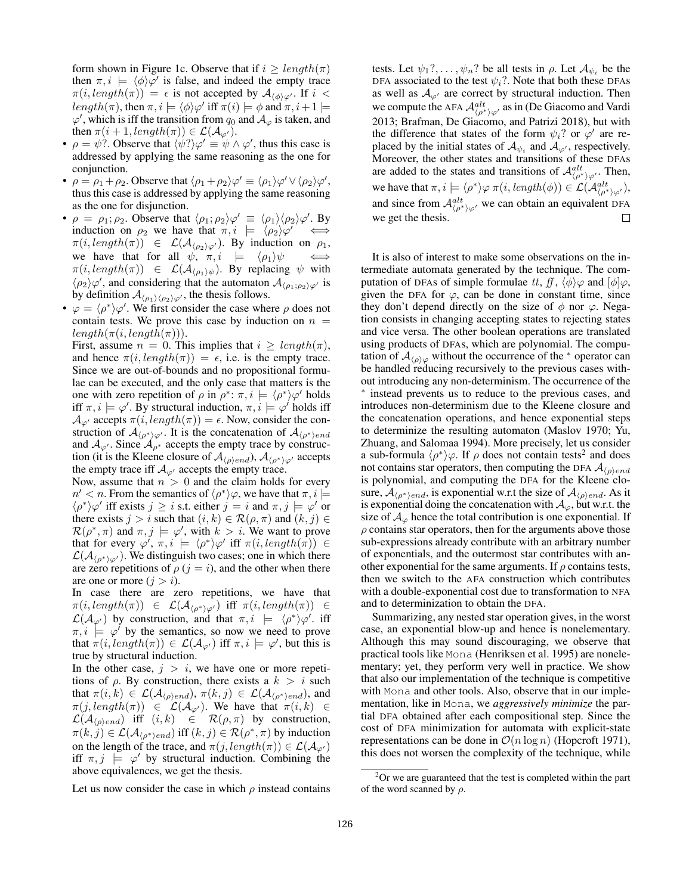form shown in Figure 1c. Observe that if  $i \geq length(\pi)$ then  $\pi, i \models \langle \phi \rangle \varphi'$  is false, and indeed the empty trace  $\pi(i, length(\pi)) = \epsilon$  is not accepted by  $\mathcal{A}_{\langle \phi \rangle \varphi'}$ . If  $i <$  $length(\pi)$ , then  $\pi, i \models \langle \phi \rangle \varphi'$  iff  $\pi(i) \models \phi$  and  $\pi, i+1 \models$  $\varphi'$ , which is iff the transition from  $q_0$  and  $\mathcal{A}_{\varphi}$  is taken, and then  $\pi(i+1, length(\pi)) \in \mathcal{L}(\mathcal{A}_{\varphi}).$ 

- $\rho = \psi$ ?. Observe that  $\langle \psi^2 \rangle \varphi' \equiv \psi \wedge \varphi'$ , thus this case is addressed by applying the same reasoning as the one for conjunction.
- $\rho = \rho_1 + \rho_2$ . Observe that  $\langle \rho_1 + \rho_2 \rangle \varphi' \equiv \langle \rho_1 \rangle \varphi' \vee \langle \rho_2 \rangle \varphi',$ thus this case is addressed by applying the same reasoning as the one for disjunction.
- $\rho = \rho_1; \rho_2$ . Observe that  $\langle \rho_1; \rho_2 \rangle \varphi' \equiv \langle \rho_1 \rangle \langle \rho_2 \rangle \varphi'$ . By induction on  $\rho_2$  we have that  $\pi, i \models \langle \rho_2 \rangle \varphi'$  $\sqrt{a}$  $\pi(i, length(\pi)) \in \mathcal{L}(\mathcal{A}_{\langle \rho_2 \rangle \varphi'})$ . By induction on  $\rho_1$ , we have that for all  $\psi$ ,  $\pi, i \models \langle \rho_1 \rangle \psi \iff$  $\pi(i, length(\pi)) \in \mathcal{L}(\mathcal{A}_{\langle \rho_1 \rangle \psi})$ . By replacing  $\psi$  with  $\langle \rho_2 \rangle \varphi'$ , and considering that the automaton  $\mathcal{A}_{\langle \rho_1; \rho_2 \rangle \varphi'}$  is by definition  $\mathcal{A}_{\langle\rho_1\rangle\langle\rho_2\rangle\varphi'}$ , the thesis follows.
- $\varphi = \langle \rho^* \rangle \varphi'$ . We first consider the case where  $\rho$  does not contain tests. We prove this case by induction on  $n =$  $length(\pi(i, length(\pi))).$

First, assume  $n = 0$ . This implies that  $i \geq length(\pi)$ , and hence  $\pi(i, length(\pi)) = \epsilon$ , i.e. is the empty trace. Since we are out-of-bounds and no propositional formulae can be executed, and the only case that matters is the one with zero repetition of  $\rho$  in  $\rho^*$ :  $\pi, i \models \langle \rho^* \rangle \varphi'$  holds iff  $\pi, i \models \varphi'$ . By structural induction,  $\pi, i \models \varphi'$  holds iff  $\mathcal{A}_{\varphi'}$  accepts  $\pi(i, length(\pi)) = \epsilon$ . Now, consider the construction of  $\mathcal{A}_{\langle \rho^* \rangle \varphi'}$ . It is the concatenation of  $\mathcal{A}_{\langle \rho^* \rangle end}$ and  $A_{\varphi}$ . Since  $A_{\rho^*}$  accepts the empty trace by construction (it is the Kleene closure of  $\mathcal{A}_{\langle \rho \rangle end}$ ),  $\mathcal{A}_{\langle \rho^* \rangle \varphi'}$  accepts the empty trace iff  $A_{\varphi}$  accepts the empty trace.

Now, assume that  $n > 0$  and the claim holds for every  $n' < n$ . From the semantics of  $\langle \rho^* \rangle \varphi$ , we have that  $\pi, i \models$  $\langle \rho^* \rangle \varphi'$  iff exists  $j \geq i$  s.t. either  $j = i$  and  $\pi, j \models \varphi'$  or there exists  $j > i$  such that  $(i, k) \in \mathcal{R}(\rho, \pi)$  and  $(k, j) \in$  $\mathcal{R}(\rho^*, \pi)$  and  $\pi, j \models \varphi'$ , with  $k > i$ . We want to prove that for every  $\varphi', \pi, i \models \langle \rho^* \rangle \varphi'$  iff  $\pi(i, length(\pi)) \in$  $\mathcal{L}(\mathcal{A}_{\langle \rho^*\rangle\varphi'})$ . We distinguish two cases; one in which there are zero repetitions of  $\rho$  ( $j = i$ ), and the other when there are one or more  $(j > i)$ .

In case there are zero repetitions, we have that  $\pi(i, length(\pi)) \in \mathcal{L}(\mathcal{A}_{\langle \rho^*\rangle \varphi'})$  iff  $\pi(i, length(\pi)) \in$  $\mathcal{L}(\mathcal{A}_{\varphi'})$  by construction, and that  $\pi, i \models \langle \rho^* \rangle \varphi'$ . iff  $\pi, i \models \varphi'$  by the semantics, so now we need to prove that  $\pi(i, length(\pi)) \in \mathcal{L}(\mathcal{A}_{\varphi'})$  iff  $\pi, i \models \varphi'$ , but this is true by structural induction.

In the other case,  $j > i$ , we have one or more repetitions of  $\rho$ . By construction, there exists a  $k > i$  such that  $\pi(i,k) \in \mathcal{L}(\mathcal{A}_{\langle \rho \rangle end}), \pi(k,j) \in \mathcal{L}(\mathcal{A}_{\langle \rho^*\rangle end}),$  and  $\pi(j, length(\pi)) \in \mathcal{L}(\mathcal{A}_{\varphi'})$ . We have that  $\pi(i,k) \in$  $\mathcal{L}(\mathcal{A}_{\langle \rho \rangle end})$  iff  $(i, k) \in \mathcal{R}(\rho, \pi)$  by construction,  $\pi(k, j) \in \mathcal{L}(\mathcal{A}_{\langle \rho^*\rangle end})$  iff  $(k, j) \in \mathcal{R}(\rho^*, \pi)$  by induction on the length of the trace, and  $\pi(j, length(\pi)) \in \mathcal{L}(\mathcal{A}_{\varphi})$ iff  $\pi, j \models \varphi'$  by structural induction. Combining the above equivalences, we get the thesis.

Let us now consider the case in which  $\rho$  instead contains

tests. Let  $\psi_1$ ?, ...,  $\psi_n$ ? be all tests in  $\rho$ . Let  $\mathcal{A}_{\psi_i}$  be the DFA associated to the test  $\psi_i$ ?. Note that both these DFAs as well as  $A_{\varphi}$  are correct by structural induction. Then we compute the AFA  $\mathcal{A}_{\langle \rho^* \rangle \varphi'}^{alt}$  as in (De Giacomo and Vardi 2013; Brafman, De Giacomo, and Patrizi 2018), but with the difference that states of the form  $\psi_i$ ? or  $\varphi'$  are replaced by the initial states of  $A_{\psi_i}$  and  $A_{\varphi'}$ , respectively. Moreover, the other states and transitions of these DFAs are added to the states and transitions of  $\mathcal{A}_{\langle\rho^*\rangle\varphi'}^{alt}$ . Then, we have that  $\pi, i \models \langle \rho^* \rangle \varphi \, \pi(i, length(\phi)) \in \mathcal{L}(\mathcal{A}_{\langle \rho^* \rangle \varphi'}^{alt}),$ and since from  $\mathcal{A}^{alt}_{\langle \rho^* \rangle \varphi'}$  we can obtain an equivalent DFA we get the thesis.  $\Box$ 

It is also of interest to make some observations on the intermediate automata generated by the technique. The computation of DFAs of simple formulae tt, ff,  $\langle \phi \rangle \varphi$  and  $[\phi] \varphi$ , given the DFA for  $\varphi$ , can be done in constant time, since they don't depend directly on the size of  $\phi$  nor  $\varphi$ . Negation consists in changing accepting states to rejecting states and vice versa. The other boolean operations are translated using products of DFAs, which are polynomial. The computation of  $\mathcal{A}_{\langle\rho\rangle\varphi}$  without the occurrence of the  $*$  operator can be handled reducing recursively to the previous cases without introducing any non-determinism. The occurrence of the ∗ instead prevents us to reduce to the previous cases, and introduces non-determinism due to the Kleene closure and the concatenation operations, and hence exponential steps to determinize the resulting automaton (Maslov 1970; Yu, Zhuang, and Salomaa 1994). More precisely, let us consider a sub-formula  $\langle \rho^* \rangle \varphi$ . If  $\rho$  does not contain tests<sup>2</sup> and does not contains star operators, then computing the DFA  $\mathcal{A}_{\langle \rho \rangle end}$ is polynomial, and computing the DFA for the Kleene closure,  $\mathcal{A}_{\langle \rho^*\rangle end}$ , is exponential w.r.t the size of  $\mathcal{A}_{\langle \rho \rangle end}$ . As it is exponential doing the concatenation with  $A_{\varphi}$ , but w.r.t. the size of  $A_{\varphi}$  hence the total contribution is one exponential. If  $\rho$  contains star operators, then for the arguments above those sub-expressions already contribute with an arbitrary number of exponentials, and the outermost star contributes with another exponential for the same arguments. If  $\rho$  contains tests, then we switch to the AFA construction which contributes with a double-exponential cost due to transformation to NFA and to determinization to obtain the DFA.

Summarizing, any nested star operation gives, in the worst case, an exponential blow-up and hence is nonelementary. Although this may sound discouraging, we observe that practical tools like Mona (Henriksen et al. 1995) are nonelementary; yet, they perform very well in practice. We show that also our implementation of the technique is competitive with Mona and other tools. Also, observe that in our implementation, like in Mona, we *aggressively minimize* the partial DFA obtained after each compositional step. Since the cost of DFA minimization for automata with explicit-state representations can be done in  $\mathcal{O}(n \log n)$  (Hopcroft 1971), this does not worsen the complexity of the technique, while

 $2$ Or we are guaranteed that the test is completed within the part of the word scanned by  $\rho$ .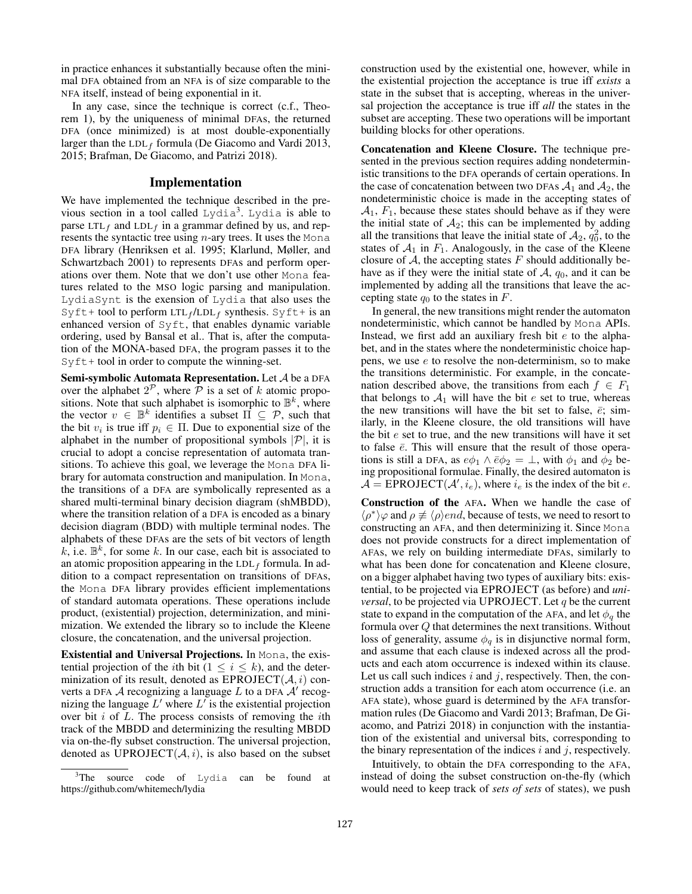in practice enhances it substantially because often the minimal DFA obtained from an NFA is of size comparable to the NFA itself, instead of being exponential in it.

In any case, since the technique is correct (c.f., Theorem 1), by the uniqueness of minimal DFAs, the returned DFA (once minimized) is at most double-exponentially larger than the  $LDL_f$  formula (De Giacomo and Vardi 2013, 2015; Brafman, De Giacomo, and Patrizi 2018).

#### Implementation

We have implemented the technique described in the previous section in a tool called Lydia<sup>3</sup>. Lydia is able to parse LTL<sub>f</sub> and LDL<sub>f</sub> in a grammar defined by us, and represents the syntactic tree using  $n$ -ary trees. It uses the Mona DFA library (Henriksen et al. 1995; Klarlund, Møller, and Schwartzbach 2001) to represents DFAs and perform operations over them. Note that we don't use other Mona features related to the MSO logic parsing and manipulation. LydiaSynt is the exension of Lydia that also uses the  $S\gamma$ ft+ tool to perform LTL<sub>f</sub>/LDL<sub>f</sub> synthesis. Syft+ is an enhanced version of Syft, that enables dynamic variable ordering, used by Bansal et al.. That is, after the computation of the MONA-based DFA, the program passes it to the  $S\vee f$ t + tool in order to compute the winning-set.

Semi-symbolic Automata Representation. Let A be a DFA over the alphabet  $2^{\mathcal{P}}$ , where  $\overline{\mathcal{P}}$  is a set of k atomic propositions. Note that such alphabet is isomorphic to  $\mathbb{B}^k$ , where the vector  $v \in \mathbb{B}^k$  identifies a subset  $\Pi \subseteq \mathcal{P}$ , such that the bit  $v_i$  is true iff  $p_i \in \Pi$ . Due to exponential size of the alphabet in the number of propositional symbols  $|\mathcal{P}|$ , it is crucial to adopt a concise representation of automata transitions. To achieve this goal, we leverage the Mona DFA library for automata construction and manipulation. In Mona, the transitions of a DFA are symbolically represented as a shared multi-terminal binary decision diagram (shMBDD), where the transition relation of a DFA is encoded as a binary decision diagram (BDD) with multiple terminal nodes. The alphabets of these DFAs are the sets of bit vectors of length  $k$ , i.e.  $\mathbb{B}^k$ , for some k. In our case, each bit is associated to an atomic proposition appearing in the  $LDL_f$  formula. In addition to a compact representation on transitions of DFAs, the Mona DFA library provides efficient implementations of standard automata operations. These operations include product, (existential) projection, determinization, and minimization. We extended the library so to include the Kleene closure, the concatenation, and the universal projection.

Existential and Universal Projections. In Mona, the existential projection of the *i*th bit ( $1 \leq i \leq k$ ), and the determinization of its result, denoted as  $EPROJECT(\mathcal{A}, i)$  converts a DFA  $\mathcal A$  recognizing a language  $L$  to a DFA  $\mathcal A'$  recognizing the language  $L'$  where  $L'$  is the existential projection over bit  $i$  of  $L$ . The process consists of removing the *i*th track of the MBDD and determinizing the resulting MBDD via on-the-fly subset construction. The universal projection, denoted as  $UPROIECT(A, i)$ , is also based on the subset construction used by the existential one, however, while in the existential projection the acceptance is true iff *exists* a state in the subset that is accepting, whereas in the universal projection the acceptance is true iff *all* the states in the subset are accepting. These two operations will be important building blocks for other operations.

Concatenation and Kleene Closure. The technique presented in the previous section requires adding nondeterministic transitions to the DFA operands of certain operations. In the case of concatenation between two DFAs  $A_1$  and  $A_2$ , the nondeterministic choice is made in the accepting states of  $A_1$ ,  $F_1$ , because these states should behave as if they were the initial state of  $A_2$ ; this can be implemented by adding all the transitions that leave the initial state of  $A_2$ ,  $q_0^2$ , to the states of  $A_1$  in  $F_1$ . Analogously, in the case of the Kleene closure of  $A$ , the accepting states  $F$  should additionally behave as if they were the initial state of  $A$ ,  $q_0$ , and it can be implemented by adding all the transitions that leave the accepting state  $q_0$  to the states in  $F$ .

In general, the new transitions might render the automaton nondeterministic, which cannot be handled by Mona APIs. Instead, we first add an auxiliary fresh bit  $e$  to the alphabet, and in the states where the nondeterministic choice happens, we use e to resolve the non-determinism, so to make the transitions deterministic. For example, in the concatenation described above, the transitions from each  $f \in F_1$ that belongs to  $A_1$  will have the bit e set to true, whereas the new transitions will have the bit set to false,  $\bar{e}$ ; similarly, in the Kleene closure, the old transitions will have the bit  $e$  set to true, and the new transitions will have it set to false  $\bar{e}$ . This will ensure that the result of those operations is still a DFA, as  $e\phi_1 \wedge \overline{e} \phi_2 = \perp$ , with  $\phi_1$  and  $\phi_2$  being propositional formulae. Finally, the desired automaton is  $\mathcal{A} = \text{EPROJECT}(\mathcal{A}', i_e)$ , where  $i_e$  is the index of the bit e.

Construction of the AFA. When we handle the case of  $\langle \rho^* \rangle \varphi$  and  $\rho \not\equiv \langle \rho \rangle$  *end*, because of tests, we need to resort to constructing an AFA, and then determinizing it. Since Mona does not provide constructs for a direct implementation of AFAs, we rely on building intermediate DFAs, similarly to what has been done for concatenation and Kleene closure, on a bigger alphabet having two types of auxiliary bits: existential, to be projected via EPROJECT (as before) and *universal*, to be projected via UPROJECT. Let  $q$  be the current state to expand in the computation of the AFA, and let  $\phi_q$  the formula over  $Q$  that determines the next transitions. Without loss of generality, assume  $\phi_q$  is in disjunctive normal form, and assume that each clause is indexed across all the products and each atom occurrence is indexed within its clause. Let us call such indices  $i$  and  $j$ , respectively. Then, the construction adds a transition for each atom occurrence (i.e. an AFA state), whose guard is determined by the AFA transformation rules (De Giacomo and Vardi 2013; Brafman, De Giacomo, and Patrizi 2018) in conjunction with the instantiation of the existential and universal bits, corresponding to the binary representation of the indices  $i$  and  $j$ , respectively.

Intuitively, to obtain the DFA corresponding to the AFA, instead of doing the subset construction on-the-fly (which would need to keep track of *sets of sets* of states), we push

<sup>&</sup>lt;sup>3</sup>The source code of Lydia can be found at https://github.com/whitemech/lydia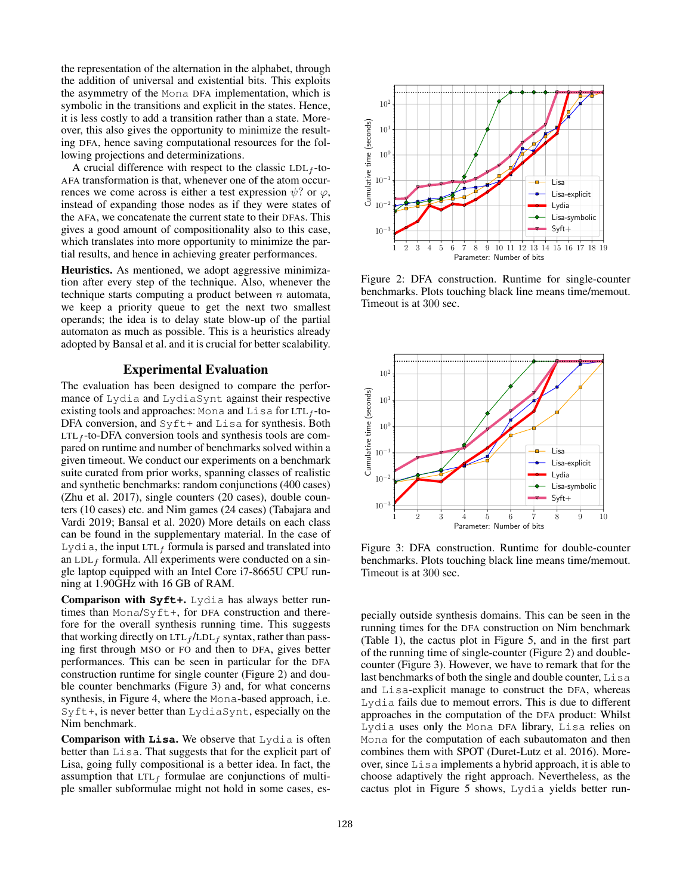the representation of the alternation in the alphabet, through the addition of universal and existential bits. This exploits the asymmetry of the Mona DFA implementation, which is symbolic in the transitions and explicit in the states. Hence, it is less costly to add a transition rather than a state. Moreover, this also gives the opportunity to minimize the resulting DFA, hence saving computational resources for the following projections and determinizations.

A crucial difference with respect to the classic  $LDL_f$ -to-AFA transformation is that, whenever one of the atom occurrences we come across is either a test expression  $\psi$ ? or  $\varphi$ , instead of expanding those nodes as if they were states of the AFA, we concatenate the current state to their DFAs. This gives a good amount of compositionality also to this case, which translates into more opportunity to minimize the partial results, and hence in achieving greater performances.

Heuristics. As mentioned, we adopt aggressive minimization after every step of the technique. Also, whenever the technique starts computing a product between  $n$  automata, we keep a priority queue to get the next two smallest operands; the idea is to delay state blow-up of the partial automaton as much as possible. This is a heuristics already adopted by Bansal et al. and it is crucial for better scalability.

### Experimental Evaluation

The evaluation has been designed to compare the performance of Lydia and LydiaSynt against their respective existing tools and approaches: Mona and Lisa for LTL<sub>f</sub>-to-DFA conversion, and  $S$ y  $ft+$  and  $L$ isa for synthesis. Both  $LTL_f$ -to-DFA conversion tools and synthesis tools are compared on runtime and number of benchmarks solved within a given timeout. We conduct our experiments on a benchmark suite curated from prior works, spanning classes of realistic and synthetic benchmarks: random conjunctions (400 cases) (Zhu et al. 2017), single counters (20 cases), double counters (10 cases) etc. and Nim games (24 cases) (Tabajara and Vardi 2019; Bansal et al. 2020) More details on each class can be found in the supplementary material. In the case of Lydia, the input LTL<sub>f</sub> formula is parsed and translated into an LDL $_f$  formula. All experiments were conducted on a single laptop equipped with an Intel Core i7-8665U CPU running at 1.90GHz with 16 GB of RAM.

Comparison with **Syft+**. Lydia has always better runtimes than Mona/Syft+, for DFA construction and therefore for the overall synthesis running time. This suggests that working directly on  $LTL_f / LDL_f$  syntax, rather than passing first through MSO or FO and then to DFA, gives better performances. This can be seen in particular for the DFA construction runtime for single counter (Figure 2) and double counter benchmarks (Figure 3) and, for what concerns synthesis, in Figure 4, where the Mona-based approach, i.e. Syft+, is never better than LydiaSynt, especially on the Nim benchmark.

Comparison with **Lisa**. We observe that Lydia is often better than Lisa. That suggests that for the explicit part of Lisa, going fully compositional is a better idea. In fact, the assumption that  $LTL<sub>f</sub>$  formulae are conjunctions of multiple smaller subformulae might not hold in some cases, es-



Figure 2: DFA construction. Runtime for single-counter benchmarks. Plots touching black line means time/memout. Timeout is at 300 sec.



Figure 3: DFA construction. Runtime for double-counter benchmarks. Plots touching black line means time/memout. Timeout is at 300 sec.

pecially outside synthesis domains. This can be seen in the running times for the DFA construction on Nim benchmark (Table 1), the cactus plot in Figure 5, and in the first part of the running time of single-counter (Figure 2) and doublecounter (Figure 3). However, we have to remark that for the last benchmarks of both the single and double counter, Lisa and Lisa-explicit manage to construct the DFA, whereas Lydia fails due to memout errors. This is due to different approaches in the computation of the DFA product: Whilst Lydia uses only the Mona DFA library, Lisa relies on Mona for the computation of each subautomaton and then combines them with SPOT (Duret-Lutz et al. 2016). Moreover, since Lisa implements a hybrid approach, it is able to choose adaptively the right approach. Nevertheless, as the cactus plot in Figure 5 shows, Lydia yields better run-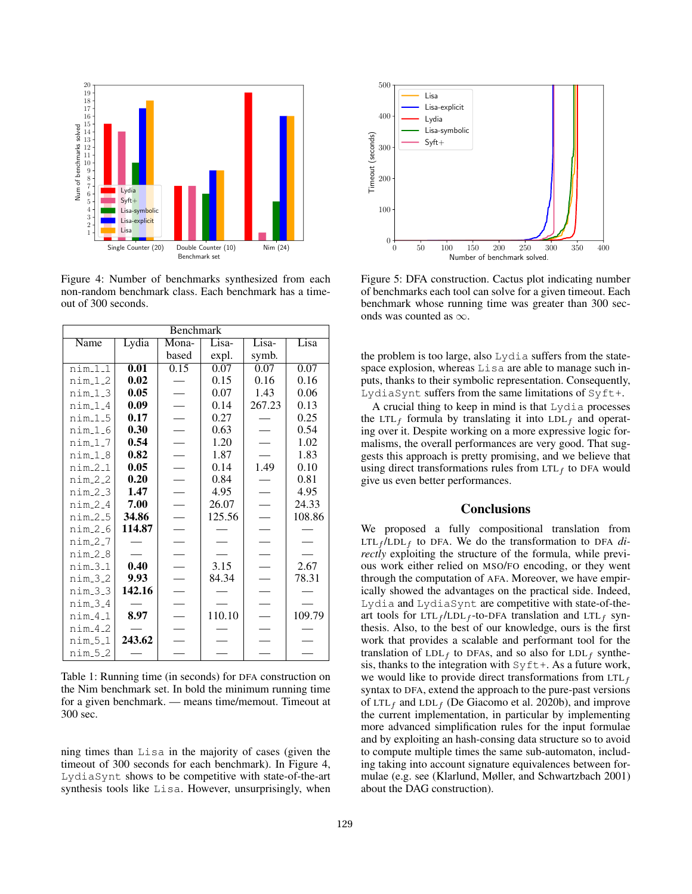

Figure 4: Number of benchmarks synthesized from each non-random benchmark class. Each benchmark has a timeout of 300 seconds.

| <b>Benchmark</b>    |                   |                          |        |                          |        |
|---------------------|-------------------|--------------------------|--------|--------------------------|--------|
| Name                | Lydia             | Mona-                    | Lisa-  | Lisa-                    | Lisa   |
|                     |                   | based                    | expl.  | symb.                    |        |
| nim111              | $\overline{0.01}$ | 0.15                     | 0.07   | 0.07                     | 0.07   |
| $nim_12$            | 0.02              |                          | 0.15   | 0.16                     | 0.16   |
| $nim_1_3$           | 0.05              |                          | 0.07   | 1.43                     | 0.06   |
| $nim_1_4$           | 0.09              |                          | 0.14   | 267.23                   | 0.13   |
| $nim_1-5$           | 0.17              | $\overline{a}$           | 0.27   |                          | 0.25   |
| nim <sub>-1-6</sub> | 0.30              |                          | 0.63   |                          | 0.54   |
| $nim_1.7$           | 0.54              |                          | 1.20   |                          | 1.02   |
| $nim_1_8$           | 0.82              |                          | 1.87   |                          | 1.83   |
| $nim-2-1$           | 0.05              | $\overline{a}$           | 0.14   | 1.49                     | 0.10   |
| $nim_2_2$           | 0.20              |                          | 0.84   |                          | 0.81   |
| $nim_2_3$           | 1.47              |                          | 4.95   |                          | 4.95   |
| $nim_2_4$           | 7.00              |                          | 26.07  |                          | 24.33  |
| $nim_2_5$           | 34.86             | $\overline{\phantom{0}}$ | 125.56 | $\overline{\phantom{a}}$ | 108.86 |
| $nim_2_6$           | 114.87            |                          |        |                          |        |
| nim2.7              |                   |                          |        |                          |        |
| $nim_2_8$           |                   |                          |        |                          |        |
| $nim_3_1$           | 0.40              |                          | 3.15   |                          | 2.67   |
| $nim_3_2$           | 9.93              |                          | 84.34  |                          | 78.31  |
| $nim_3_3$           | 142.16            |                          |        |                          |        |
| $nim_3_4$           |                   |                          |        |                          |        |
| $nim_4_1$           | 8.97              |                          | 110.10 |                          | 109.79 |
| $nim-4-2$           |                   |                          |        |                          |        |
| $nim_5_1$           | 243.62            |                          |        |                          |        |
| nim_5_2             |                   |                          |        |                          |        |

Table 1: Running time (in seconds) for DFA construction on the Nim benchmark set. In bold the minimum running time for a given benchmark. — means time/memout. Timeout at 300 sec.

ning times than Lisa in the majority of cases (given the timeout of 300 seconds for each benchmark). In Figure 4, LydiaSynt shows to be competitive with state-of-the-art synthesis tools like Lisa. However, unsurprisingly, when



Figure 5: DFA construction. Cactus plot indicating number of benchmarks each tool can solve for a given timeout. Each benchmark whose running time was greater than 300 seconds was counted as  $\infty$ .

the problem is too large, also Lydia suffers from the statespace explosion, whereas Lisa are able to manage such inputs, thanks to their symbolic representation. Consequently, LydiaSynt suffers from the same limitations of Syft+.

A crucial thing to keep in mind is that Lydia processes the LTL<sub>f</sub> formula by translating it into  $LDL_f$  and operating over it. Despite working on a more expressive logic formalisms, the overall performances are very good. That suggests this approach is pretty promising, and we believe that using direct transformations rules from  $LTL_f$  to DFA would give us even better performances.

# **Conclusions**

We proposed a fully compositional translation from  $LTL_f/LDL_f$  to DFA. We do the transformation to DFA  $di$ *rectly* exploiting the structure of the formula, while previous work either relied on MSO/FO encoding, or they went through the computation of AFA. Moreover, we have empirically showed the advantages on the practical side. Indeed, Lydia and LydiaSynt are competitive with state-of-theart tools for  $LTL_f/LDL_f$ -to-DFA translation and  $LTL_f$  synthesis. Also, to the best of our knowledge, ours is the first work that provides a scalable and performant tool for the translation of  $LDL_f$  to DFAs, and so also for  $LDL_f$  synthesis, thanks to the integration with  $Sylt+$ . As a future work, we would like to provide direct transformations from  $LTL<sub>f</sub>$ syntax to DFA, extend the approach to the pure-past versions of LTL<sub>f</sub> and LDL<sub>f</sub> (De Giacomo et al. 2020b), and improve the current implementation, in particular by implementing more advanced simplification rules for the input formulae and by exploiting an hash-consing data structure so to avoid to compute multiple times the same sub-automaton, including taking into account signature equivalences between formulae (e.g. see (Klarlund, Møller, and Schwartzbach 2001) about the DAG construction).